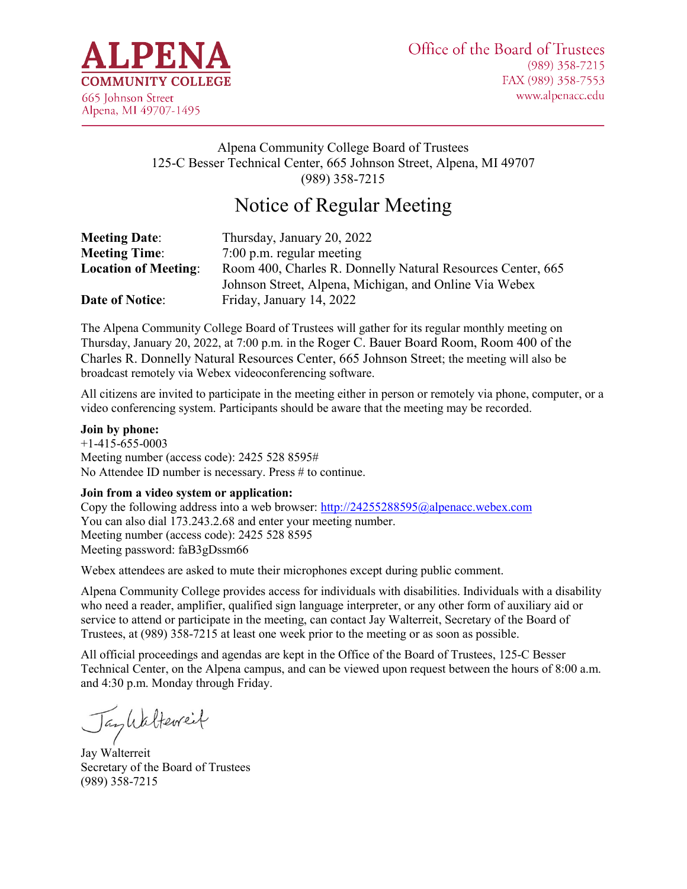

# Alpena Community College Board of Trustees 125-C Besser Technical Center, 665 Johnson Street, Alpena, MI 49707 (989) 358-7215

# Notice of Regular Meeting

| <b>Meeting Date:</b>        | Thursday, January 20, 2022                                  |
|-----------------------------|-------------------------------------------------------------|
| <b>Meeting Time:</b>        | $7:00$ p.m. regular meeting                                 |
| <b>Location of Meeting:</b> | Room 400, Charles R. Donnelly Natural Resources Center, 665 |
|                             | Johnson Street, Alpena, Michigan, and Online Via Webex      |
| <b>Date of Notice:</b>      | Friday, January 14, 2022                                    |

The Alpena Community College Board of Trustees will gather for its regular monthly meeting on Thursday, January 20, 2022, at 7:00 p.m. in the Roger C. Bauer Board Room, Room 400 of the Charles R. Donnelly Natural Resources Center, 665 Johnson Street; the meeting will also be broadcast remotely via Webex videoconferencing software.

All citizens are invited to participate in the meeting either in person or remotely via phone, computer, or a video conferencing system. Participants should be aware that the meeting may be recorded.

#### **Join by phone:**

+1-415-655-0003 Meeting number (access code): 2425 528 8595# No Attendee ID number is necessary. Press # to continue.

#### **Join from a video system or application:**

Copy the following address into a web browser:<http://24255288595@alpenacc.webex.com> You can also dial 173.243.2.68 and enter your meeting number. Meeting number (access code): 2425 528 8595 Meeting password: faB3gDssm66

Webex attendees are asked to mute their microphones except during public comment.

Alpena Community College provides access for individuals with disabilities. Individuals with a disability who need a reader, amplifier, qualified sign language interpreter, or any other form of auxiliary aid or service to attend or participate in the meeting, can contact Jay Walterreit, Secretary of the Board of Trustees, at (989) 358-7215 at least one week prior to the meeting or as soon as possible.

All official proceedings and agendas are kept in the Office of the Board of Trustees, 125-C Besser Technical Center, on the Alpena campus, and can be viewed upon request between the hours of 8:00 a.m. and 4:30 p.m. Monday through Friday.

Jankalterreit

Jay Walterreit Secretary of the Board of Trustees (989) 358-7215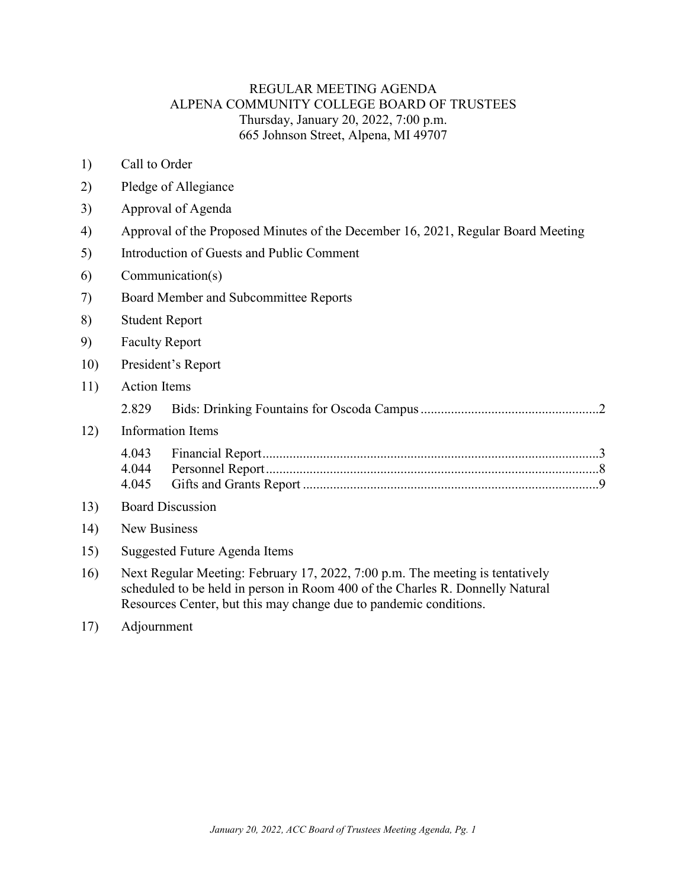### REGULAR MEETING AGENDA ALPENA COMMUNITY COLLEGE BOARD OF TRUSTEES Thursday, January 20, 2022, 7:00 p.m. 665 Johnson Street, Alpena, MI 49707

- 1) Call to Order
- 2) Pledge of Allegiance
- 3) Approval of Agenda
- 4) Approval of the Proposed Minutes of the December 16, 2021, Regular Board Meeting
- 5) Introduction of Guests and Public Comment
- 6) Communication(s)
- 7) Board Member and Subcommittee Reports
- 8) Student Report
- 9) Faculty Report
- 10) President's Report
- 11) Action Items

|--|--|--|--|

### 12) Information Items

13) Board Discussion

#### 14) New Business

- 15) Suggested Future Agenda Items
- 16) Next Regular Meeting: February 17, 2022, 7:00 p.m. The meeting is tentatively scheduled to be held in person in Room 400 of the Charles R. Donnelly Natural Resources Center, but this may change due to pandemic conditions.
- 17) Adjournment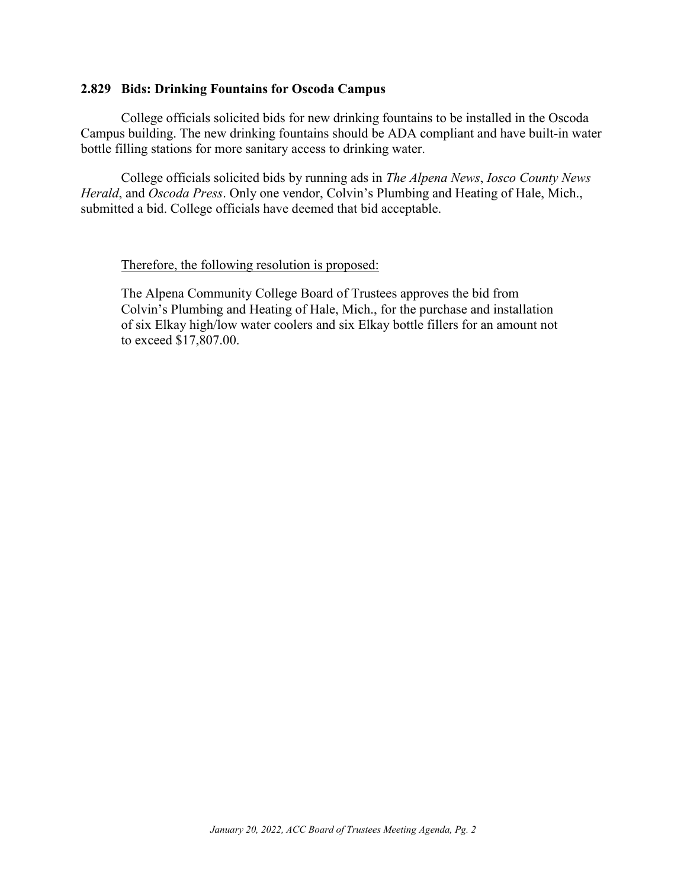#### <span id="page-2-0"></span>**2.829 Bids: Drinking Fountains for Oscoda Campus**

College officials solicited bids for new drinking fountains to be installed in the Oscoda Campus building. The new drinking fountains should be ADA compliant and have built-in water bottle filling stations for more sanitary access to drinking water.

College officials solicited bids by running ads in *The Alpena News*, *Iosco County News Herald*, and *Oscoda Press*. Only one vendor, Colvin's Plumbing and Heating of Hale, Mich., submitted a bid. College officials have deemed that bid acceptable.

#### Therefore, the following resolution is proposed:

The Alpena Community College Board of Trustees approves the bid from Colvin's Plumbing and Heating of Hale, Mich., for the purchase and installation of six Elkay high/low water coolers and six Elkay bottle fillers for an amount not to exceed \$17,807.00.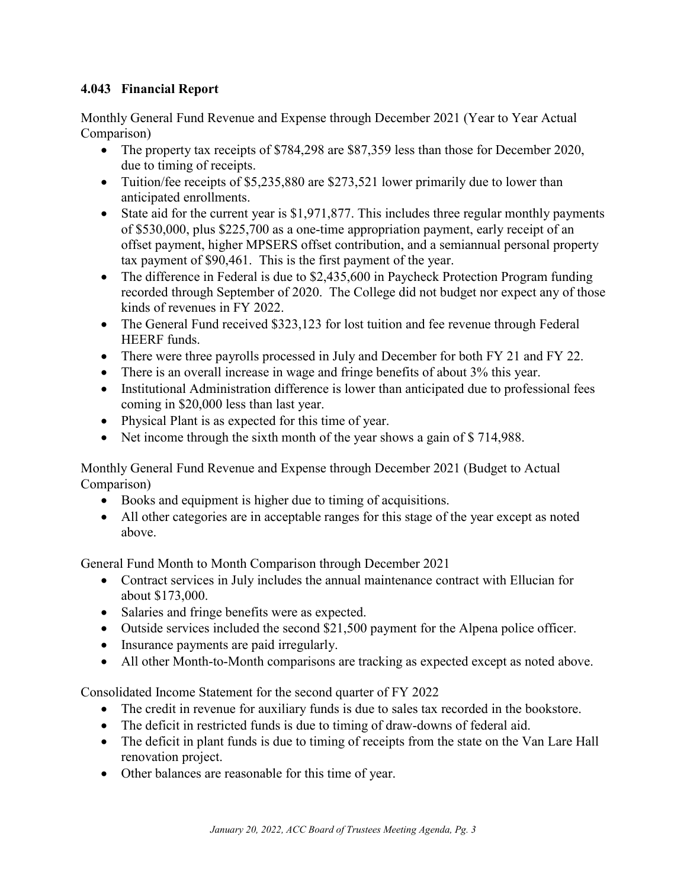# <span id="page-3-0"></span>**4.043 Financial Report**

Monthly General Fund Revenue and Expense through December 2021 (Year to Year Actual Comparison)

- The property tax receipts of \$784,298 are \$87,359 less than those for December 2020, due to timing of receipts.
- Tuition/fee receipts of \$5,235,880 are \$273,521 lower primarily due to lower than anticipated enrollments.
- State aid for the current year is \$1,971,877. This includes three regular monthly payments of \$530,000, plus \$225,700 as a one-time appropriation payment, early receipt of an offset payment, higher MPSERS offset contribution, and a semiannual personal property tax payment of \$90,461. This is the first payment of the year.
- The difference in Federal is due to \$2,435,600 in Paycheck Protection Program funding recorded through September of 2020. The College did not budget nor expect any of those kinds of revenues in FY 2022.
- The General Fund received \$323,123 for lost tuition and fee revenue through Federal HEERF funds.
- There were three payrolls processed in July and December for both FY 21 and FY 22.
- There is an overall increase in wage and fringe benefits of about 3% this year.
- Institutional Administration difference is lower than anticipated due to professional fees coming in \$20,000 less than last year.
- Physical Plant is as expected for this time of year.
- Net income through the sixth month of the year shows a gain of \$714,988.

Monthly General Fund Revenue and Expense through December 2021 (Budget to Actual Comparison)

- Books and equipment is higher due to timing of acquisitions.
- All other categories are in acceptable ranges for this stage of the year except as noted above.

General Fund Month to Month Comparison through December 2021

- Contract services in July includes the annual maintenance contract with Ellucian for about \$173,000.
- Salaries and fringe benefits were as expected.
- Outside services included the second \$21,500 payment for the Alpena police officer.
- Insurance payments are paid irregularly.
- All other Month-to-Month comparisons are tracking as expected except as noted above.

Consolidated Income Statement for the second quarter of FY 2022

- The credit in revenue for auxiliary funds is due to sales tax recorded in the bookstore.
- The deficit in restricted funds is due to timing of draw-downs of federal aid.
- The deficit in plant funds is due to timing of receipts from the state on the Van Lare Hall renovation project.
- Other balances are reasonable for this time of year.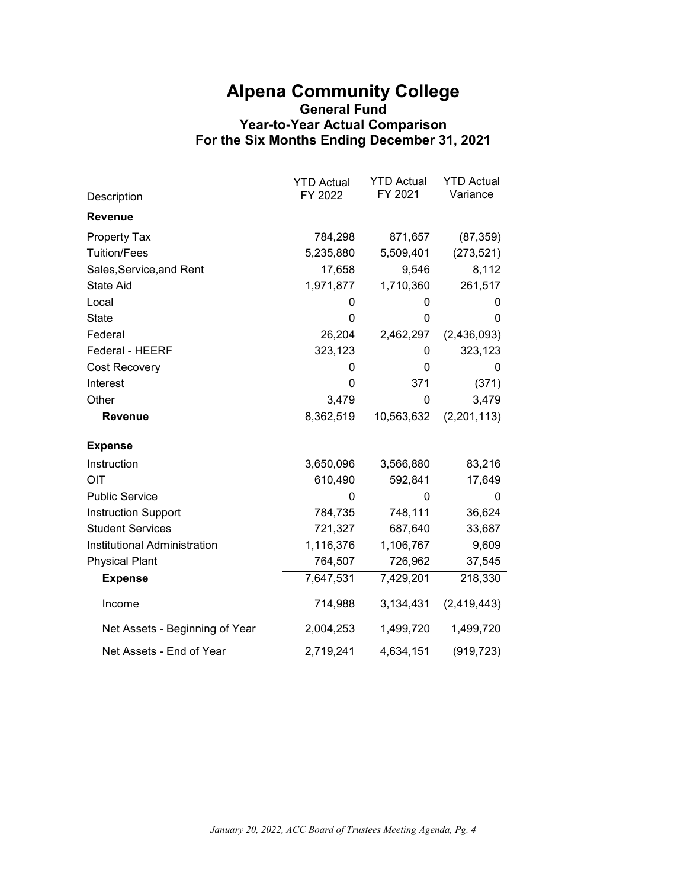# **Alpena Community College General Fund Year-to-Year Actual Comparison For the Six Months Ending December 31, 2021**

|                                | <b>YTD Actual</b> | <b>YTD Actual</b> | <b>YTD Actual</b> |
|--------------------------------|-------------------|-------------------|-------------------|
| Description                    | FY 2022           | FY 2021           | Variance          |
| <b>Revenue</b>                 |                   |                   |                   |
| <b>Property Tax</b>            | 784,298           | 871,657           | (87, 359)         |
| <b>Tuition/Fees</b>            | 5,235,880         | 5,509,401         | (273, 521)        |
| Sales, Service, and Rent       | 17,658            | 9,546             | 8,112             |
| <b>State Aid</b>               | 1,971,877         | 1,710,360         | 261,517           |
| Local                          | 0                 | 0                 | 0                 |
| <b>State</b>                   | 0                 | 0                 | 0                 |
| Federal                        | 26,204            | 2,462,297         | (2,436,093)       |
| Federal - HEERF                | 323,123           | 0                 | 323,123           |
| <b>Cost Recovery</b>           | 0                 | 0                 | 0                 |
| Interest                       | 0                 | 371               | (371)             |
| Other                          | 3,479             | 0                 | 3,479             |
| <b>Revenue</b>                 | 8,362,519         | 10,563,632        | (2,201,113)       |
| <b>Expense</b>                 |                   |                   |                   |
| Instruction                    | 3,650,096         | 3,566,880         | 83,216            |
| OIT                            | 610,490           | 592,841           | 17,649            |
| <b>Public Service</b>          | O                 | $\Omega$          | $\Omega$          |
| <b>Instruction Support</b>     | 784,735           | 748,111           | 36,624            |
| <b>Student Services</b>        | 721,327           | 687,640           | 33,687            |
| Institutional Administration   | 1,116,376         | 1,106,767         | 9,609             |
| <b>Physical Plant</b>          | 764,507           | 726,962           | 37,545            |
| <b>Expense</b>                 | 7,647,531         | 7,429,201         | 218,330           |
| Income                         | 714,988           | 3,134,431         | (2,419,443)       |
| Net Assets - Beginning of Year | 2,004,253         | 1,499,720         | 1,499,720         |
| Net Assets - End of Year       | 2,719,241         | 4,634,151         | (919, 723)        |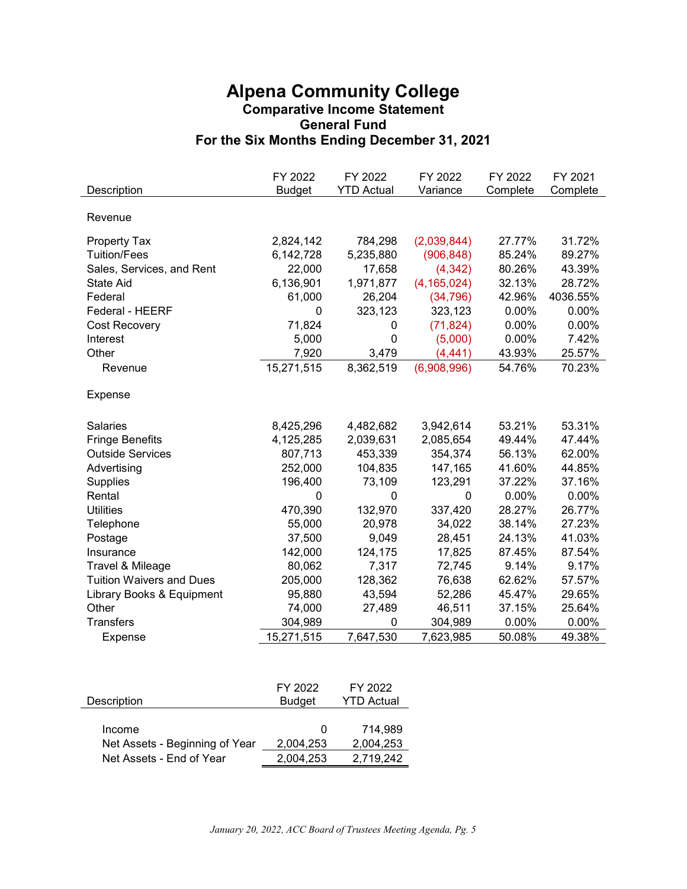# **Alpena Community College Comparative Income Statement General Fund For the Six Months Ending December 31, 2021**

| Revenue<br>31.72%<br>2,824,142<br>784,298<br>(2,039,844)<br>27.77%<br><b>Property Tax</b><br><b>Tuition/Fees</b><br>(906, 848)<br>85.24%<br>6,142,728<br>5,235,880<br>89.27%<br>Sales, Services, and Rent<br>22,000<br>80.26%<br>43.39%<br>17,658<br>(4, 342)<br>6,136,901<br>1,971,877<br>(4, 165, 024)<br>32.13%<br><b>State Aid</b><br>28.72%<br>Federal<br>61,000<br>26,204<br>(34, 796)<br>42.96%<br>4036.55%<br>323,123<br>0.00%<br>0.00%<br>Federal - HEERF<br>0<br>323,123<br>71,824<br>(71, 824)<br>0.00%<br>0.00%<br>Cost Recovery<br>0<br>5,000<br>$\overline{0}$<br>0.00%<br>7.42%<br>Interest<br>(5,000)<br>7,920<br>25.57%<br>Other<br>3,479<br>(4, 441)<br>43.93%<br>15,271,515<br>8,362,519<br>(6,908,996)<br>54.76%<br>70.23%<br>Revenue<br>Expense<br>53.21%<br><b>Salaries</b><br>8,425,296<br>4,482,682<br>3,942,614<br>53.31%<br><b>Fringe Benefits</b><br>4,125,285<br>2,085,654<br>49.44%<br>47.44%<br>2,039,631<br><b>Outside Services</b><br>453,339<br>354,374<br>56.13%<br>807,713<br>62.00%<br>252,000<br>104,835<br>147,165<br>41.60%<br>44.85%<br>Advertising<br>196,400<br>73,109<br>37.22%<br>37.16%<br><b>Supplies</b><br>123,291<br>0.00%<br>0.00%<br>Rental<br>0<br>$\mathbf 0$<br>$\mathbf 0$<br>470,390<br>132,970<br>28.27%<br><b>Utilities</b><br>337,420<br>26.77%<br>Telephone<br>55,000<br>20,978<br>34,022<br>38.14%<br>27.23%<br>37,500<br>9,049<br>28,451<br>41.03%<br>Postage<br>24.13%<br>142,000<br>124,175<br>17,825<br>87.45%<br>87.54%<br>Insurance<br>Travel & Mileage<br>80,062<br>9.17%<br>7,317<br>72,745<br>9.14%<br><b>Tuition Waivers and Dues</b><br>205,000<br>128,362<br>76,638<br>62.62%<br>57.57%<br>43,594<br>52,286<br>45.47%<br>29.65%<br>Library Books & Equipment<br>95,880<br>Other<br>74,000<br>27,489<br>46,511<br>37.15%<br>25.64%<br><b>Transfers</b><br>304,989<br>304,989<br>0.00%<br>$0.00\%$<br>$\mathbf{0}$<br>7,647,530<br>50.08%<br>49.38%<br>15,271,515<br>7,623,985<br><b>Expense</b> | Description | FY 2022<br><b>Budget</b> | FY 2022<br><b>YTD Actual</b> | FY 2022<br>Variance | FY 2022<br>Complete | FY 2021<br>Complete |
|-------------------------------------------------------------------------------------------------------------------------------------------------------------------------------------------------------------------------------------------------------------------------------------------------------------------------------------------------------------------------------------------------------------------------------------------------------------------------------------------------------------------------------------------------------------------------------------------------------------------------------------------------------------------------------------------------------------------------------------------------------------------------------------------------------------------------------------------------------------------------------------------------------------------------------------------------------------------------------------------------------------------------------------------------------------------------------------------------------------------------------------------------------------------------------------------------------------------------------------------------------------------------------------------------------------------------------------------------------------------------------------------------------------------------------------------------------------------------------------------------------------------------------------------------------------------------------------------------------------------------------------------------------------------------------------------------------------------------------------------------------------------------------------------------------------------------------------------------------------------------------------------------------------------------------------------------------------------------|-------------|--------------------------|------------------------------|---------------------|---------------------|---------------------|
|                                                                                                                                                                                                                                                                                                                                                                                                                                                                                                                                                                                                                                                                                                                                                                                                                                                                                                                                                                                                                                                                                                                                                                                                                                                                                                                                                                                                                                                                                                                                                                                                                                                                                                                                                                                                                                                                                                                                                                         |             |                          |                              |                     |                     |                     |
|                                                                                                                                                                                                                                                                                                                                                                                                                                                                                                                                                                                                                                                                                                                                                                                                                                                                                                                                                                                                                                                                                                                                                                                                                                                                                                                                                                                                                                                                                                                                                                                                                                                                                                                                                                                                                                                                                                                                                                         |             |                          |                              |                     |                     |                     |
|                                                                                                                                                                                                                                                                                                                                                                                                                                                                                                                                                                                                                                                                                                                                                                                                                                                                                                                                                                                                                                                                                                                                                                                                                                                                                                                                                                                                                                                                                                                                                                                                                                                                                                                                                                                                                                                                                                                                                                         |             |                          |                              |                     |                     |                     |
|                                                                                                                                                                                                                                                                                                                                                                                                                                                                                                                                                                                                                                                                                                                                                                                                                                                                                                                                                                                                                                                                                                                                                                                                                                                                                                                                                                                                                                                                                                                                                                                                                                                                                                                                                                                                                                                                                                                                                                         |             |                          |                              |                     |                     |                     |
|                                                                                                                                                                                                                                                                                                                                                                                                                                                                                                                                                                                                                                                                                                                                                                                                                                                                                                                                                                                                                                                                                                                                                                                                                                                                                                                                                                                                                                                                                                                                                                                                                                                                                                                                                                                                                                                                                                                                                                         |             |                          |                              |                     |                     |                     |
|                                                                                                                                                                                                                                                                                                                                                                                                                                                                                                                                                                                                                                                                                                                                                                                                                                                                                                                                                                                                                                                                                                                                                                                                                                                                                                                                                                                                                                                                                                                                                                                                                                                                                                                                                                                                                                                                                                                                                                         |             |                          |                              |                     |                     |                     |
|                                                                                                                                                                                                                                                                                                                                                                                                                                                                                                                                                                                                                                                                                                                                                                                                                                                                                                                                                                                                                                                                                                                                                                                                                                                                                                                                                                                                                                                                                                                                                                                                                                                                                                                                                                                                                                                                                                                                                                         |             |                          |                              |                     |                     |                     |
|                                                                                                                                                                                                                                                                                                                                                                                                                                                                                                                                                                                                                                                                                                                                                                                                                                                                                                                                                                                                                                                                                                                                                                                                                                                                                                                                                                                                                                                                                                                                                                                                                                                                                                                                                                                                                                                                                                                                                                         |             |                          |                              |                     |                     |                     |
|                                                                                                                                                                                                                                                                                                                                                                                                                                                                                                                                                                                                                                                                                                                                                                                                                                                                                                                                                                                                                                                                                                                                                                                                                                                                                                                                                                                                                                                                                                                                                                                                                                                                                                                                                                                                                                                                                                                                                                         |             |                          |                              |                     |                     |                     |
|                                                                                                                                                                                                                                                                                                                                                                                                                                                                                                                                                                                                                                                                                                                                                                                                                                                                                                                                                                                                                                                                                                                                                                                                                                                                                                                                                                                                                                                                                                                                                                                                                                                                                                                                                                                                                                                                                                                                                                         |             |                          |                              |                     |                     |                     |
|                                                                                                                                                                                                                                                                                                                                                                                                                                                                                                                                                                                                                                                                                                                                                                                                                                                                                                                                                                                                                                                                                                                                                                                                                                                                                                                                                                                                                                                                                                                                                                                                                                                                                                                                                                                                                                                                                                                                                                         |             |                          |                              |                     |                     |                     |
|                                                                                                                                                                                                                                                                                                                                                                                                                                                                                                                                                                                                                                                                                                                                                                                                                                                                                                                                                                                                                                                                                                                                                                                                                                                                                                                                                                                                                                                                                                                                                                                                                                                                                                                                                                                                                                                                                                                                                                         |             |                          |                              |                     |                     |                     |
|                                                                                                                                                                                                                                                                                                                                                                                                                                                                                                                                                                                                                                                                                                                                                                                                                                                                                                                                                                                                                                                                                                                                                                                                                                                                                                                                                                                                                                                                                                                                                                                                                                                                                                                                                                                                                                                                                                                                                                         |             |                          |                              |                     |                     |                     |
|                                                                                                                                                                                                                                                                                                                                                                                                                                                                                                                                                                                                                                                                                                                                                                                                                                                                                                                                                                                                                                                                                                                                                                                                                                                                                                                                                                                                                                                                                                                                                                                                                                                                                                                                                                                                                                                                                                                                                                         |             |                          |                              |                     |                     |                     |
|                                                                                                                                                                                                                                                                                                                                                                                                                                                                                                                                                                                                                                                                                                                                                                                                                                                                                                                                                                                                                                                                                                                                                                                                                                                                                                                                                                                                                                                                                                                                                                                                                                                                                                                                                                                                                                                                                                                                                                         |             |                          |                              |                     |                     |                     |
|                                                                                                                                                                                                                                                                                                                                                                                                                                                                                                                                                                                                                                                                                                                                                                                                                                                                                                                                                                                                                                                                                                                                                                                                                                                                                                                                                                                                                                                                                                                                                                                                                                                                                                                                                                                                                                                                                                                                                                         |             |                          |                              |                     |                     |                     |
|                                                                                                                                                                                                                                                                                                                                                                                                                                                                                                                                                                                                                                                                                                                                                                                                                                                                                                                                                                                                                                                                                                                                                                                                                                                                                                                                                                                                                                                                                                                                                                                                                                                                                                                                                                                                                                                                                                                                                                         |             |                          |                              |                     |                     |                     |
|                                                                                                                                                                                                                                                                                                                                                                                                                                                                                                                                                                                                                                                                                                                                                                                                                                                                                                                                                                                                                                                                                                                                                                                                                                                                                                                                                                                                                                                                                                                                                                                                                                                                                                                                                                                                                                                                                                                                                                         |             |                          |                              |                     |                     |                     |
|                                                                                                                                                                                                                                                                                                                                                                                                                                                                                                                                                                                                                                                                                                                                                                                                                                                                                                                                                                                                                                                                                                                                                                                                                                                                                                                                                                                                                                                                                                                                                                                                                                                                                                                                                                                                                                                                                                                                                                         |             |                          |                              |                     |                     |                     |
|                                                                                                                                                                                                                                                                                                                                                                                                                                                                                                                                                                                                                                                                                                                                                                                                                                                                                                                                                                                                                                                                                                                                                                                                                                                                                                                                                                                                                                                                                                                                                                                                                                                                                                                                                                                                                                                                                                                                                                         |             |                          |                              |                     |                     |                     |
|                                                                                                                                                                                                                                                                                                                                                                                                                                                                                                                                                                                                                                                                                                                                                                                                                                                                                                                                                                                                                                                                                                                                                                                                                                                                                                                                                                                                                                                                                                                                                                                                                                                                                                                                                                                                                                                                                                                                                                         |             |                          |                              |                     |                     |                     |
|                                                                                                                                                                                                                                                                                                                                                                                                                                                                                                                                                                                                                                                                                                                                                                                                                                                                                                                                                                                                                                                                                                                                                                                                                                                                                                                                                                                                                                                                                                                                                                                                                                                                                                                                                                                                                                                                                                                                                                         |             |                          |                              |                     |                     |                     |
|                                                                                                                                                                                                                                                                                                                                                                                                                                                                                                                                                                                                                                                                                                                                                                                                                                                                                                                                                                                                                                                                                                                                                                                                                                                                                                                                                                                                                                                                                                                                                                                                                                                                                                                                                                                                                                                                                                                                                                         |             |                          |                              |                     |                     |                     |
|                                                                                                                                                                                                                                                                                                                                                                                                                                                                                                                                                                                                                                                                                                                                                                                                                                                                                                                                                                                                                                                                                                                                                                                                                                                                                                                                                                                                                                                                                                                                                                                                                                                                                                                                                                                                                                                                                                                                                                         |             |                          |                              |                     |                     |                     |
|                                                                                                                                                                                                                                                                                                                                                                                                                                                                                                                                                                                                                                                                                                                                                                                                                                                                                                                                                                                                                                                                                                                                                                                                                                                                                                                                                                                                                                                                                                                                                                                                                                                                                                                                                                                                                                                                                                                                                                         |             |                          |                              |                     |                     |                     |
|                                                                                                                                                                                                                                                                                                                                                                                                                                                                                                                                                                                                                                                                                                                                                                                                                                                                                                                                                                                                                                                                                                                                                                                                                                                                                                                                                                                                                                                                                                                                                                                                                                                                                                                                                                                                                                                                                                                                                                         |             |                          |                              |                     |                     |                     |
|                                                                                                                                                                                                                                                                                                                                                                                                                                                                                                                                                                                                                                                                                                                                                                                                                                                                                                                                                                                                                                                                                                                                                                                                                                                                                                                                                                                                                                                                                                                                                                                                                                                                                                                                                                                                                                                                                                                                                                         |             |                          |                              |                     |                     |                     |
|                                                                                                                                                                                                                                                                                                                                                                                                                                                                                                                                                                                                                                                                                                                                                                                                                                                                                                                                                                                                                                                                                                                                                                                                                                                                                                                                                                                                                                                                                                                                                                                                                                                                                                                                                                                                                                                                                                                                                                         |             |                          |                              |                     |                     |                     |
|                                                                                                                                                                                                                                                                                                                                                                                                                                                                                                                                                                                                                                                                                                                                                                                                                                                                                                                                                                                                                                                                                                                                                                                                                                                                                                                                                                                                                                                                                                                                                                                                                                                                                                                                                                                                                                                                                                                                                                         |             |                          |                              |                     |                     |                     |

| Description                    | FY 2022<br><b>Budget</b> | FY 2022<br><b>YTD Actual</b> |
|--------------------------------|--------------------------|------------------------------|
| Income                         | $\Omega$                 | 714.989                      |
| Net Assets - Beginning of Year | 2,004,253                | 2,004,253                    |
| Net Assets - End of Year       | 2,004,253                | 2,719,242                    |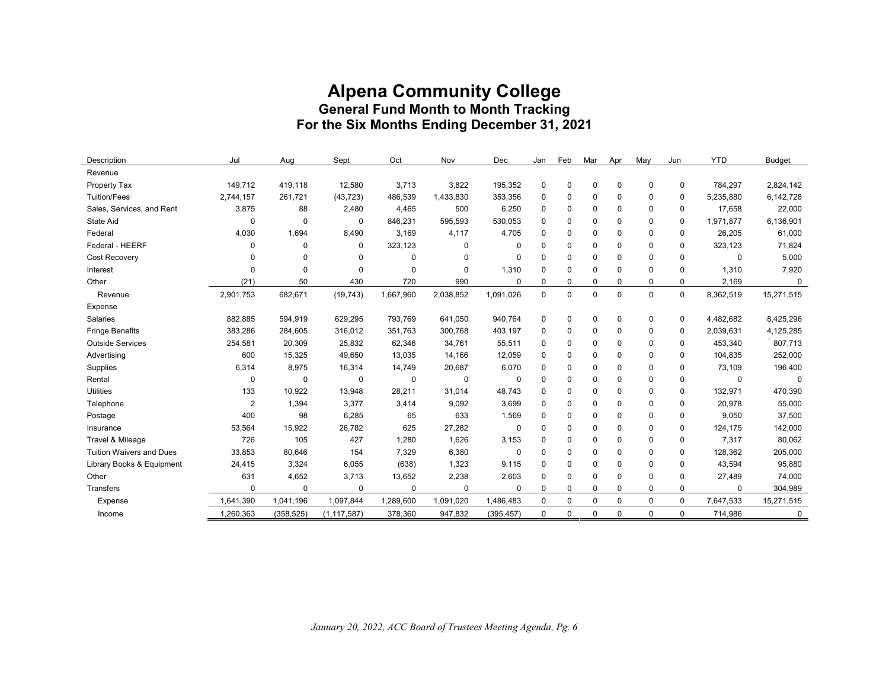# **Alpena Community College General Fund Month to Month Tracking For the Six Months Ending December 31, 2021**

| Description                     | Jul            | Aug         | Sept          | Oct         | Nov         | Dec        | Jan         | Feb         | Mar      | Apr      | May         | Jun      | <b>YTD</b>  | <b>Budget</b> |
|---------------------------------|----------------|-------------|---------------|-------------|-------------|------------|-------------|-------------|----------|----------|-------------|----------|-------------|---------------|
| Revenue                         |                |             |               |             |             |            |             |             |          |          |             |          |             |               |
| Property Tax                    | 149,712        | 419,118     | 12,580        | 3,713       | 3,822       | 195,352    | 0           | 0           | 0        | 0        | $\mathbf 0$ | 0        | 784,297     | 2,824,142     |
| <b>Tuition/Fees</b>             | 2,744,157      | 261,721     | (43, 723)     | 486,539     | 1,433,830   | 353,356    | $\mathbf 0$ | 0           | $\Omega$ | $\Omega$ | 0           | 0        | 5,235,880   | 6,142,728     |
| Sales, Services, and Rent       | 3,875          | 88          | 2,480         | 4,465       | 500         | 6,250      | 0           | 0           | 0        | $\Omega$ | 0           | 0        | 17,658      | 22,000        |
| State Aid                       | $\Omega$       | $\mathbf 0$ | $\Omega$      | 846,231     | 595,593     | 530,053    | 0           | $\mathbf 0$ | 0        | $\Omega$ | 0           | 0        | 1,971,877   | 6,136,901     |
| Federal                         | 4,030          | 1,694       | 8,490         | 3,169       | 4,117       | 4,705      | 0           | $\mathbf 0$ | 0        | $\Omega$ | 0           | 0        | 26,205      | 61,000        |
| Federal - HEERF                 | $\Omega$       | 0           | 0             | 323,123     | $\Omega$    | 0          | 0           | $\mathbf 0$ | $\Omega$ | $\Omega$ | 0           | 0        | 323,123     | 71,824        |
| Cost Recovery                   |                | $\Omega$    | 0             | 0           | $\Omega$    | 0          | $\Omega$    | $\mathbf 0$ | $\Omega$ | $\Omega$ | $\Omega$    | 0        | $\mathbf 0$ | 5,000         |
| Interest                        | $\Omega$       | $\Omega$    | $\Omega$      | $\mathbf 0$ | $\Omega$    | 1,310      | $\Omega$    | $\mathbf 0$ | $\Omega$ | $\Omega$ | 0           | 0        | 1,310       | 7,920         |
| Other                           | (21)           | 50          | 430           | 720         | 990         | $\Omega$   | $\Omega$    | $\mathbf 0$ | $\Omega$ | $\Omega$ | $\Omega$    | 0        | 2,169       | $\mathbf 0$   |
| Revenue                         | 2,901,753      | 682,671     | (19, 743)     | 1,667,960   | 2,038,852   | 1,091,026  | $\mathbf 0$ | $\mathbf 0$ | $\Omega$ | $\Omega$ | $\mathbf 0$ | 0        | 8,362,519   | 15,271,515    |
| Expense                         |                |             |               |             |             |            |             |             |          |          |             |          |             |               |
| Salaries                        | 882,885        | 594,919     | 629,295       | 793,769     | 641,050     | 940,764    | $\mathbf 0$ | $\mathbf 0$ | 0        | 0        | $\mathbf 0$ | 0        | 4,482,682   | 8,425,296     |
| <b>Fringe Benefits</b>          | 383,286        | 284,605     | 316,012       | 351,763     | 300,768     | 403,197    | 0           | $\mathbf 0$ | $\Omega$ | 0        | $\mathbf 0$ | 0        | 2,039,631   | 4,125,285     |
| <b>Outside Services</b>         | 254,581        | 20,309      | 25,832        | 62,346      | 34,761      | 55,511     | 0           | $\mathbf 0$ | $\Omega$ | $\Omega$ | 0           | 0        | 453,340     | 807,713       |
| Advertising                     | 600            | 15,325      | 49,650        | 13,035      | 14,166      | 12,059     | 0           | $\mathbf 0$ | $\Omega$ | $\Omega$ | $\Omega$    | 0        | 104,835     | 252,000       |
| Supplies                        | 6,314          | 8,975       | 16,314        | 14,749      | 20,687      | 6,070      | 0           | $\mathbf 0$ | $\Omega$ | 0        | 0           | $\Omega$ | 73,109      | 196,400       |
| Rental                          | $\Omega$       | $\mathbf 0$ | $\Omega$      | $\mathbf 0$ | $\mathbf 0$ | 0          | $\Omega$    | $\mathbf 0$ | $\Omega$ | $\Omega$ | $\Omega$    | $\Omega$ | $\mathbf 0$ | $\mathbf 0$   |
| <b>Utilities</b>                | 133            | 10,922      | 13,948        | 28,211      | 31,014      | 48,743     | $\Omega$    | $\mathbf 0$ | $\Omega$ | $\Omega$ | $\Omega$    | $\Omega$ | 132,971     | 470,390       |
| Telephone                       | $\overline{2}$ | 1,394       | 3,377         | 3,414       | 9,092       | 3,699      | $\mathbf 0$ | 0           | $\Omega$ | $\Omega$ | 0           | $\Omega$ | 20,978      | 55,000        |
| Postage                         | 400            | 98          | 6,285         | 65          | 633         | 1,569      | $\Omega$    | $\mathbf 0$ | 0        | $\Omega$ | $\Omega$    | $\Omega$ | 9,050       | 37,500        |
| Insurance                       | 53,564         | 15,922      | 26,782        | 625         | 27,282      | 0          | $\Omega$    | $\mathbf 0$ | $\Omega$ | $\Omega$ | 0           | $\Omega$ | 124,175     | 142,000       |
| Travel & Mileage                | 726            | 105         | 427           | 1,280       | 1,626       | 3,153      | 0           | $\mathbf 0$ | 0        | 0        | 0           | 0        | 7,317       | 80,062        |
| <b>Tuition Waivers and Dues</b> | 33,853         | 80,646      | 154           | 7,329       | 6,380       | 0          | 0           | 0           | 0        | $\Omega$ | 0           | 0        | 128,362     | 205,000       |
| Library Books & Equipment       | 24,415         | 3,324       | 6,055         | (638)       | 1,323       | 9.115      | 0           | $\mathbf 0$ | $\Omega$ | 0        | 0           | 0        | 43,594      | 95,880        |
| Other                           | 631            | 4,652       | 3,713         | 13,652      | 2,238       | 2,603      | $\Omega$    | $\mathbf 0$ | $\Omega$ | $\Omega$ | $\Omega$    | 0        | 27,489      | 74,000        |
| Transfers                       | $\Omega$       | $\mathbf 0$ | $\Omega$      | $\mathbf 0$ | $\Omega$    | $\Omega$   | $\Omega$    | 0           | $\Omega$ | $\Omega$ | 0           | $\Omega$ | $\Omega$    | 304,989       |
| Expense                         | 1,641,390      | 1,041,196   | 1,097,844     | 1,289,600   | 1,091,020   | 1,486,483  | 0           | $\mathbf 0$ | 0        | 0        | 0           | 0        | 7,647,533   | 15,271,515    |
| Income                          | 1,260,363      | (358, 525)  | (1, 117, 587) | 378,360     | 947,832     | (395, 457) | 0           | 0           | 0        | 0        | 0           | 0        | 714,986     | 0             |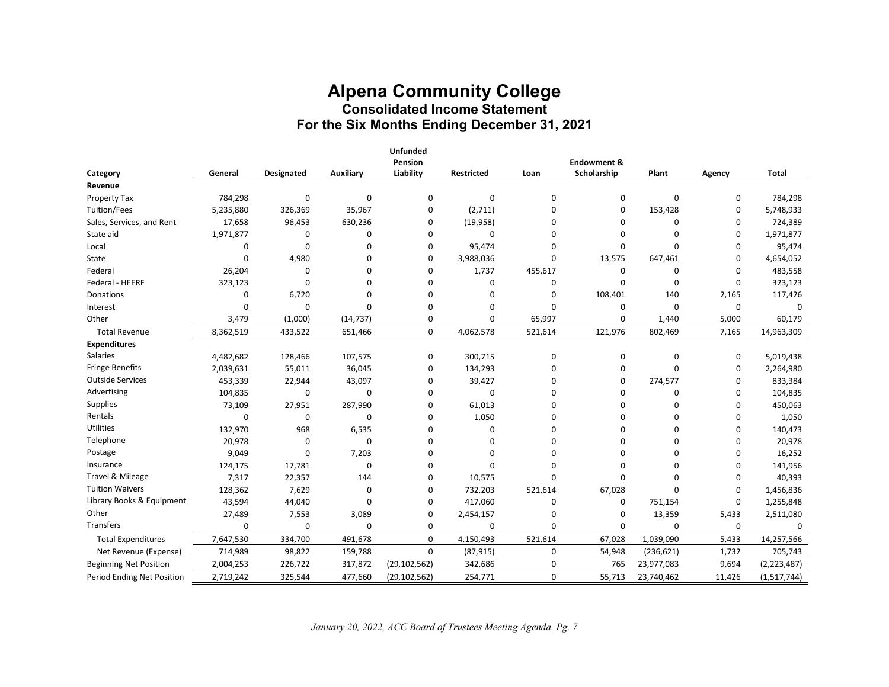# **Alpena Community College Consolidated Income Statement For the Six Months Ending December 31, 2021**

|                               |           |            |              | <b>Unfunded</b><br>Pension |                   |             | <b>Endowment &amp;</b> |            |             |             |
|-------------------------------|-----------|------------|--------------|----------------------------|-------------------|-------------|------------------------|------------|-------------|-------------|
| Category                      | General   | Designated | Auxiliary    | Liability                  | <b>Restricted</b> | Loan        | Scholarship            | Plant      | Agency      | Total       |
| Revenue                       |           |            |              |                            |                   |             |                        |            |             |             |
| Property Tax                  | 784,298   | 0          | $\mathbf{0}$ | $\Omega$                   | $\mathbf 0$       | $\mathbf 0$ | 0                      | $\Omega$   | 0           | 784,298     |
| Tuition/Fees                  | 5,235,880 | 326,369    | 35,967       | 0                          | (2,711)           | 0           | 0                      | 153,428    | 0           | 5,748,933   |
| Sales, Services, and Rent     | 17,658    | 96,453     | 630,236      | $\Omega$                   | (19,958)          | 0           | 0                      | $\Omega$   | $\Omega$    | 724,389     |
| State aid                     | 1,971,877 | 0          | 0            | 0                          | $\Omega$          | $\Omega$    | $\Omega$               | $\Omega$   | $\Omega$    | 1,971,877   |
| Local                         | 0         | $\Omega$   | $\Omega$     | 0                          | 95,474            | $\Omega$    | 0                      | 0          | $\Omega$    | 95,474      |
| State                         | $\Omega$  | 4,980      | $\Omega$     | $\Omega$                   | 3,988,036         | $\mathbf 0$ | 13,575                 | 647,461    | $\Omega$    | 4,654,052   |
| Federal                       | 26,204    | 0          | $\Omega$     | 0                          | 1,737             | 455,617     | 0                      | 0          | $\Omega$    | 483,558     |
| Federal - HEERF               | 323,123   | 0          | $\Omega$     | 0                          | $\Omega$          | 0           | $\Omega$               | $\Omega$   | $\Omega$    | 323,123     |
| Donations                     | $\Omega$  | 6,720      | $\Omega$     | $\Omega$                   | $\Omega$          | 0           | 108,401                | 140        | 2,165       | 117,426     |
| Interest                      | $\Omega$  | 0          | $\Omega$     | $\Omega$                   | $\Omega$          | $\Omega$    | 0                      | $\Omega$   | $\mathbf 0$ | $\Omega$    |
| Other                         | 3,479     | (1,000)    | (14, 737)    | 0                          | 0                 | 65,997      | $\Omega$               | 1,440      | 5,000       | 60,179      |
| <b>Total Revenue</b>          | 8,362,519 | 433,522    | 651,466      | $\mathbf 0$                | 4,062,578         | 521,614     | 121,976                | 802,469    | 7,165       | 14,963,309  |
| <b>Expenditures</b>           |           |            |              |                            |                   |             |                        |            |             |             |
| Salaries                      | 4,482,682 | 128,466    | 107,575      | $\mathbf 0$                | 300,715           | 0           | 0                      | 0          | 0           | 5,019,438   |
| <b>Fringe Benefits</b>        | 2,039,631 | 55,011     | 36,045       | 0                          | 134,293           | 0           | 0                      | 0          | 0           | 2,264,980   |
| <b>Outside Services</b>       | 453,339   | 22,944     | 43,097       | 0                          | 39,427            | 0           | $\Omega$               | 274,577    | 0           | 833,384     |
| Advertising                   | 104,835   | 0          | $\mathbf 0$  | 0                          | $\mathbf 0$       | $\Omega$    | $\Omega$               | 0          | $\Omega$    | 104,835     |
| Supplies                      | 73,109    | 27,951     | 287,990      | 0                          | 61,013            | U           | $\Omega$               | 0          | $\Omega$    | 450,063     |
| Rentals                       | $\Omega$  | 0          | $\mathbf 0$  | 0                          | 1,050             | 0           | $\Omega$               | 0          | 0           | 1,050       |
| Utilities                     | 132,970   | 968        | 6,535        | 0                          | 0                 | 0           | 0                      | 0          | $\Omega$    | 140,473     |
| Telephone                     | 20,978    | 0          | $\Omega$     | 0                          | 0                 | 0           | 0                      | 0          | $\Omega$    | 20,978      |
| Postage                       | 9,049     | $\Omega$   | 7,203        | 0                          | 0                 | $\Omega$    | 0                      | 0          | $\Omega$    | 16,252      |
| Insurance                     | 124,175   | 17,781     | $\mathbf 0$  | 0                          | $\Omega$          | $\Omega$    | 0                      | 0          | $\Omega$    | 141,956     |
| Travel & Mileage              | 7,317     | 22,357     | 144          | 0                          | 10,575            | $\Omega$    | $\Omega$               | $\Omega$   | $\Omega$    | 40,393      |
| <b>Tuition Waivers</b>        | 128,362   | 7,629      | 0            | $\Omega$                   | 732,203           | 521,614     | 67,028                 | $\Omega$   | 0           | 1,456,836   |
| Library Books & Equipment     | 43,594    | 44,040     | $\Omega$     | 0                          | 417,060           | 0           | 0                      | 751,154    | 0           | 1,255,848   |
| Other                         | 27,489    | 7,553      | 3,089        | 0                          | 2,454,157         | 0           | 0                      | 13,359     | 5,433       | 2,511,080   |
| <b>Transfers</b>              | $\Omega$  | 0          | $\mathbf 0$  | 0                          | 0                 | $\mathbf 0$ | $\Omega$               | 0          | $\mathbf 0$ | $\Omega$    |
| <b>Total Expenditures</b>     | 7,647,530 | 334,700    | 491,678      | $\mathbf 0$                | 4,150,493         | 521,614     | 67,028                 | 1,039,090  | 5,433       | 14,257,566  |
| Net Revenue (Expense)         | 714,989   | 98,822     | 159,788      | $\mathbf 0$                | (87, 915)         | 0           | 54,948                 | (236, 621) | 1,732       | 705,743     |
| <b>Beginning Net Position</b> | 2,004,253 | 226,722    | 317,872      | (29, 102, 562)             | 342,686           | 0           | 765                    | 23,977,083 | 9,694       | (2,223,487) |
| Period Ending Net Position    | 2,719,242 | 325,544    | 477,660      | (29, 102, 562)             | 254,771           | $\mathbf 0$ | 55,713                 | 23,740,462 | 11,426      | (1,517,744) |

*January 20, 2022, ACC Board of Trustees Meeting Agenda, Pg. 7*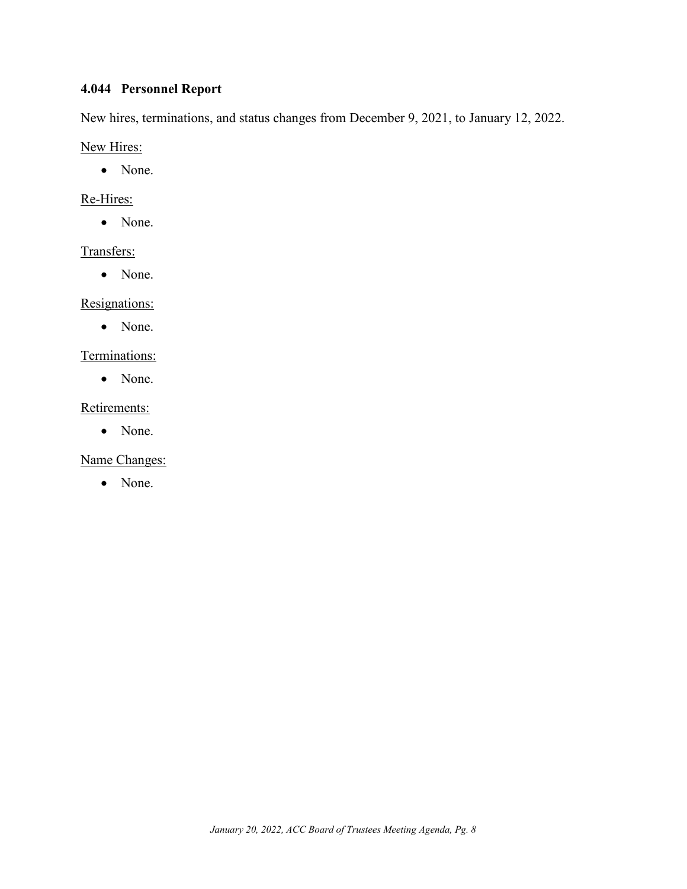# <span id="page-8-0"></span>**4.044 Personnel Report**

New hires, terminations, and status changes from December 9, 2021, to January 12, 2022.

New Hires:

• None.

### Re-Hires:

• None.

### Transfers:

• None.

### Resignations:

• None.

### Terminations:

• None.

### Retirements:

• None.

# Name Changes:

• None.